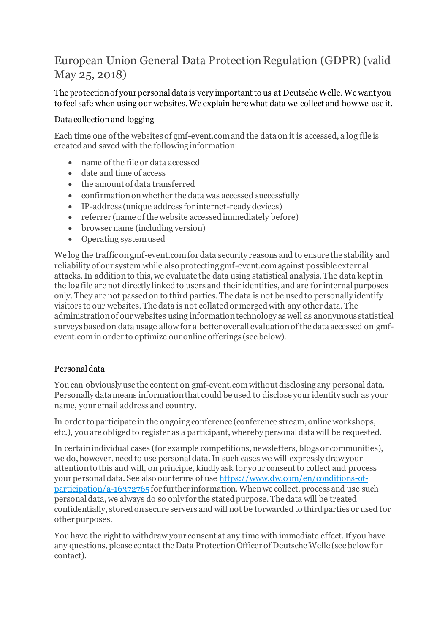# European Union General Data Protection Regulation (GDPR) (valid May 25, 2018)

## The protection of your personal data is very important to us at Deutsche Welle. We want you to feel safe when using our websites. We explain here what data we collect and how we use it.

## Data collection and logging

Each time one of the websites of gmf-event.com and the data on it is accessed, a log file is created and saved with the following information:

- name of the file or data accessed
- date and time of access
- the amount of data transferred
- confirmation on whether the data was accessed successfully
- IP-address (unique address for internet-ready devices)
- referrer (name of the website accessed immediately before)
- browser name (including version)
- Operating system used

We log the traffic on gmf-event.com for data security reasons and to ensure the stability and reliability of our system while also protecting gmf-event.com against possible external attacks. In addition to this, we evaluate the data using statistical analysis. The data kept in the log file are not directly linked to users and their identities, and are for internal purposes only. They are not passed on to third parties. The data is not be used to personally identify visitors to our websites. The data is not collated or merged with any other data. The administration of our websites using information technology as well as anonymous statistical surveys based on data usage allow for a better overall evaluation of the data accessed on gmfevent.comin order to optimize our online offerings (see below).

## Personal data

You can obviously use the content on gmf-event.comwithout disclosing any personal data. Personally data means information that could be used to disclose your identity such as your name, your email address and country.

In order to participate in the ongoing conference (conference stream, online workshops, etc.), you are obliged to register as a participant, whereby personal data will be requested.

In certain individual cases (for example competitions, newsletters, blogs or communities), we do, however, need to use personal data. In such cases we will expressly draw your attention to this and will, on principle, kindly ask for your consent to collect and process your personal data. See also our terms of use [https://www.dw.com/en/conditions-of](https://www.dw.com/en/conditions-of-participation/a-16372765) $participation/a-16372765$  for further information. When we collect, process and use such personal data, we always do so only for the stated purpose. The data will be treated confidentially, stored on secure servers and will not be forwarded to third parties or used for other purposes.

You have the right to withdraw your consent at any time with immediate effect. If you have any questions, please contact the Data Protection Officer of Deutsche Welle (see below for contact).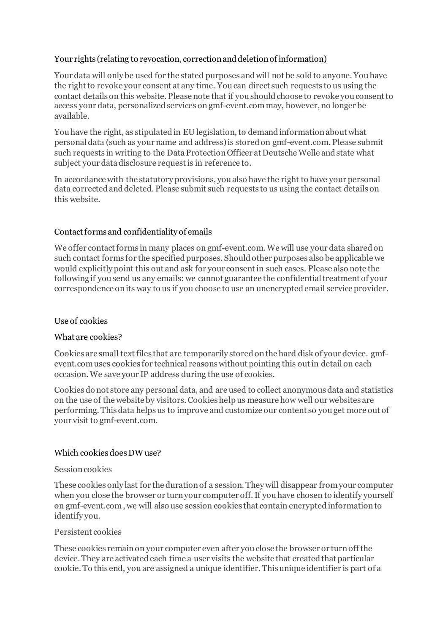## Your rights (relating to revocation, correction and deletion of information)

Your data will only be used for the stated purposes and will not be sold to anyone. You have the right to revoke your consent at any time. You can direct such requests to us using the contact details on this website. Please note that if you should choose to revoke you consent to access your data, personalized services on gmf-event.commay, however, no longer be available.

You have the right, as stipulated in EU legislation, to demand information about what personal data (such as your name and address) is stored on gmf-event.com. Please submit such requests in writing to the Data Protection Officer at Deutsche Welle and state what subject your data disclosure request is in reference to.

In accordance with the statutory provisions, you also have the right to have your personal data corrected and deleted. Please submit such requests to us using the contact details on this website.

### Contact forms and confidentiality of emails

We offer contact forms in many places on gmf-event.com. We will use your data shared on such contact forms for the specified purposes. Should other purposes also be applicable we would explicitly point this out and ask for your consent in such cases. Please also note the following if you send us any emails: we cannot guarantee the confidential treatment of your correspondence on its way to us if you choose to use an unencrypted email service provider.

#### Use of cookies

#### What are cookies?

Cookies are small text files that are temporarily stored on the hard disk of your device. gmfevent.comuses cookies for technical reasons without pointing this out in detail on each occasion. We save your IP address during the use of cookies.

Cookies do not store any personal data, and are used to collect anonymous data and statistics on the use of the website by visitors. Cookies help us measure how well our websites are performing. This data helps us to improve and customize our content so you get more out of your visit to gmf-event.com.

#### Which cookies does DW use?

#### Session cookies

These cookies only last for the duration of a session. They will disappear from your computer when you close the browser or turn your computer off. If you have chosen to identify yourself on gmf-event.com , we will also use session cookies that contain encrypted information to identify you.

#### Persistent cookies

These cookies remain on your computer even after you close the browser or turn off the device. They are activated each time a user visits the website that created that particular cookie. To this end, you are assigned a unique identifier. This unique identifier is part of a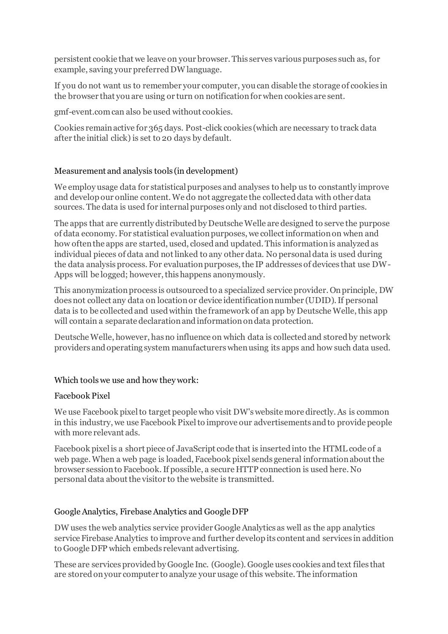persistent cookie that we leave on your browser. This serves various purposes such as, for example, saving your preferred DW language.

If you do not want us to remember your computer, you can disable the storage of cookies in the browser that you are using or turn on notification for when cookies are sent.

gmf-event.comcan also be used without cookies.

Cookies remain active for 365 days. Post-click cookies (which are necessary to track data after the initial click) is set to 20 days by default.

## Measurement and analysis tools (in development)

We employ usage data for statistical purposes and analyses to help us to constantly improve and develop our online content. We do not aggregate the collected data with other data sources. The data is used for internal purposes only and not disclosed to third parties.

The apps that are currently distributed by Deutsche Welle are designed to serve the purpose of data economy. For statistical evaluation purposes, we collect information on when and how often the apps are started, used, closed and updated. This information is analyzed as individual pieces of data and not linked to any other data. No personal data is used during the data analysis process. For evaluation purposes, the IP addresses of devices that use DW-Apps will be logged; however, this happens anonymously.

This anonymization process is outsourced to a specialized service provider. On principle, DW does not collect any data on location or device identification number (UDID). If personal data is to be collected and used within the framework of an app by Deutsche Welle, this app will contain a separate declaration and information on data protection.

Deutsche Welle, however, has no influence on which data is collected and stored by network providers and operating system manufacturers when using its apps and how such data used.

#### Which tools we use and how they work:

#### Facebook Pixel

We use Facebook pixel to target people who visit DW's website more directly. As is common in this industry, we use Facebook Pixel to improve our advertisements and to provide people with more relevant ads.

Facebook pixel is a short piece of JavaScript code that is inserted into the HTML code of a web page. When a web page is loaded, Facebook pixel sends general information about the browser session to Facebook. If possible, a secure HTTP connection is used here. No personal data about the visitor to the website is transmitted.

## Google Analytics, Firebase Analytics and Google DFP

DW uses the web analytics service provider Google Analytics as well as the app analytics service Firebase Analytics to improve and further develop its content and services in addition to Google DFP which embeds relevant advertising.

These are services provided by Google Inc. (Google). Google uses cookies and text files that are stored on your computer to analyze your usage of this website. The information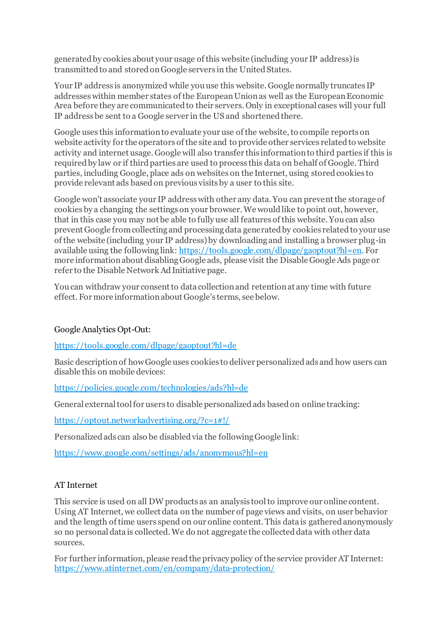generated by cookies about your usage of this website (including your IP address) is transmitted to and stored on Google servers in the United States.

Your IP address is anonymized while you use this website. Google normally truncates IP addresses within member states of the European Union as well as the European Economic Area before they are communicated to their servers. Only in exceptional cases will your full IP address be sent to a Google server in the US and shortened there.

Google uses this information to evaluate your use of the website, to compile reports on website activity for the operators of the site and to provide other services related to website activity and internet usage. Google will also transfer this information to third parties if this is required by law or if third parties are used to process this data on behalf of Google. Third parties, including Google, place ads on websites on the Internet, using stored cookies to provide relevant ads based on previous visits by a user to this site.

Google won't associate your IP address with other any data. You can prevent the storage of cookies by a changing the settings on your browser. We would like to point out, however, that in this case you may not be able to fully use all features of this website. You can also prevent Google from collecting and processing data generated by cookies related to your use of the website (including your IP address) by downloading and installing a browser plug-in available using the following link[: https://tools.google.com/dlpage/gaoptout?hl=en](https://tools.google.com/dlpage/gaoptout?hl=en). For more information about disabling Google ads, please visit the Disable Google Ads page or refer to the Disable Network Ad Initiative page.

You can withdraw your consent to data collection and retention at any time with future effect. For more information about Google's terms, see below.

## Google Analytics Opt-Out:

<https://tools.google.com/dlpage/gaoptout?hl=de>

Basic description of how Google uses cookies to deliver personalized ads and how users can disable this on mobile devices:

<https://policies.google.com/technologies/ads?hl=de>

General external tool for users to disable personalized ads based on online tracking:

[https://optout.networkadvertising.org/?c=1#!/](https://optout.networkadvertising.org/?c=1%23!/)

Personalized ads can also be disabled via the following Google link:

<https://www.google.com/settings/ads/anonymous?hl=en>

## AT Internet

This service is used on all DW products as an analysis tool to improve our online content. Using AT Internet, we collect data on the number of page views and visits, on user behavior and the length of time users spend on our online content. This data is gathered anonymously so no personal data is collected. We do not aggregate the collected data with other data sources.

For further information, please read the privacy policy of the service provider AT Internet: <https://www.atinternet.com/en/company/data-protection/>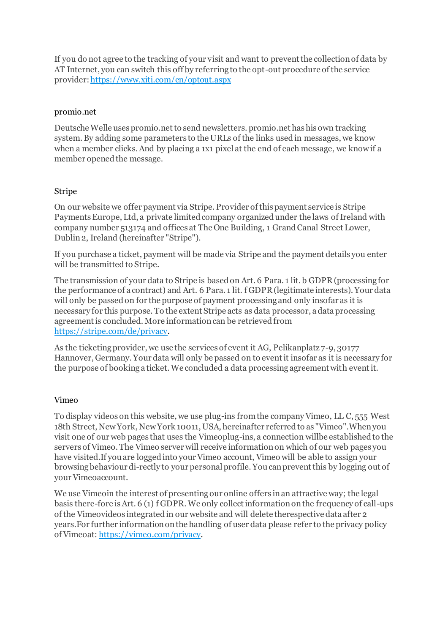If you do not agree to the tracking of your visit and want to prevent the collection of data by AT Internet, you can switch this off by referring to the opt-out procedure of the service provider[:https://www.xiti.com/en/optout.aspx](https://www.xiti.com/en/optout.aspx)

### promio.net

Deutsche Welle uses promio.net to send newsletters. promio.net has his own tracking system. By adding some parameters to the URLs of the links used in messages, we know when a member clicks. And by placing a 1x1 pixel at the end of each message, we know if a member opened the message.

### Stripe

On our website we offer payment via Stripe. Provider of this payment service is Stripe Payments Europe, Ltd, a private limited company organized under the laws of Ireland with company number 513174 and offices at The One Building, 1 Grand Canal Street Lower, Dublin 2, Ireland (hereinafter "Stripe").

If you purchase a ticket, payment will be made via Stripe and the payment details you enter will be transmitted to Stripe.

The transmission of your data to Stripe is based on Art. 6 Para. 1 lit. b GDPR (processing for the performance of a contract) and Art. 6 Para. 1 lit. f GDPR (legitimate interests). Your data will only be passed on for the purpose of payment processing and only insofar as it is necessary for this purpose. To the extent Stripe acts as data processor, a data processing agreement is concluded. More information can be retrieved from <https://stripe.com/de/privacy>.

As the ticketing provider, we use the services of event it AG, Pelikanplatz 7-9, 30177 Hannover, Germany. Your data will only be passed on to event it insofar as it is necessary for the purpose of booking a ticket. We concluded a data processing agreement with event it.

## Vimeo

To display videos on this website, we use plug-ins from the company Vimeo, LL C, 555 West 18th Street, New York, New York 10011, USA, hereinafter referred to as "Vimeo".When you visit one of our web pages that uses the Vimeoplug-ins, a connection willbe established to the servers of Vimeo. The Vimeo server will receive information on which of our web pages you have visited.If you are logged into your Vimeo account, Vimeo will be able to assign your browsing behaviour di-rectly to your personal profile. You can prevent this by logging out of your Vimeoaccount.

We use Vimeoin the interest of presenting our online offers in an attractive way; the legal basis there-fore is Art. 6 (1) f GDPR. We only collect information on the frequency of call-ups of the Vimeovideos integrated in our website and will delete therespective data after 2 years.For further information on the handling of user data please refer to the privacy policy of Vimeoat: <https://vimeo.com/privacy>.